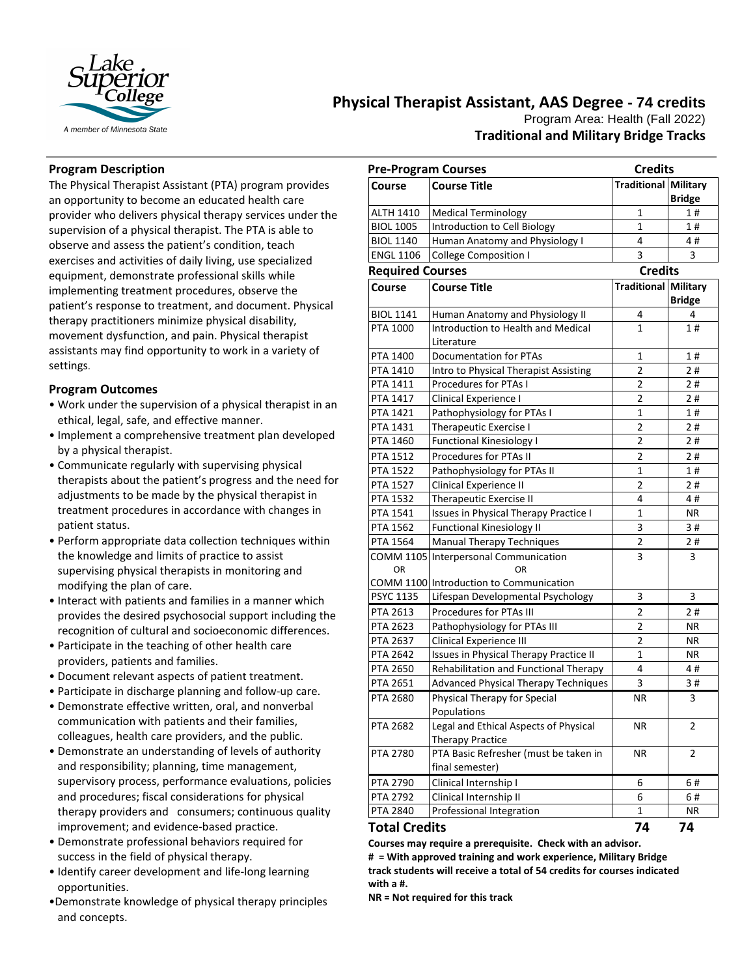

# **Physical Therapist Assistant, AAS Degree - 74 credits** Program Area: Health (Fall 2022) **Traditional and Military Bridge Tracks**

# **Program Description**

The Physical Therapist Assistant (PTA) program provides an opportunity to become an educated health care provider who delivers physical therapy services under the supervision of a physical therapist. The PTA is able to observe and assess the patient's condition, teach exercises and activities of daily living, use specialized equipment, demonstrate professional skills while implementing treatment procedures, observe the patient's response to treatment, and document. Physical therapy practitioners minimize physical disability, movement dysfunction, and pain. Physical therapist assistants may find opportunity to work in a variety of settings.

## **Program Outcomes**

- Work under the supervision of a physical therapist in an ethical, legal, safe, and effective manner.
- Implement a comprehensive treatment plan developed by a physical therapist.
- Communicate regularly with supervising physical therapists about the patient's progress and the need for adjustments to be made by the physical therapist in treatment procedures in accordance with changes in patient status.
- Perform appropriate data collection techniques within the knowledge and limits of practice to assist supervising physical therapists in monitoring and modifying the plan of care.
- Interact with patients and families in a manner which provides the desired psychosocial support including the recognition of cultural and socioeconomic differences.
- Participate in the teaching of other health care providers, patients and families.
- Document relevant aspects of patient treatment.
- Participate in discharge planning and follow-up care.
- Demonstrate effective written, oral, and nonverbal communication with patients and their families, colleagues, health care providers, and the public.
- Demonstrate an understanding of levels of authority and responsibility; planning, time management, supervisory process, performance evaluations, policies and procedures; fiscal considerations for physical therapy providers and consumers; continuous quality improvement; and evidence-based practice.
- Demonstrate professional behaviors required for success in the field of physical therapy.
- Identify career development and life-long learning opportunities.
- •Demonstrate knowledge of physical therapy principles and concepts.

| <b>Pre-Program Courses</b> |                                                                  | <b>Credits</b>              |               |
|----------------------------|------------------------------------------------------------------|-----------------------------|---------------|
| Course                     | <b>Course Title</b>                                              | <b>Traditional Military</b> |               |
|                            |                                                                  |                             | <b>Bridge</b> |
| ALTH 1410                  | <b>Medical Terminology</b>                                       | 1                           | 1#            |
| <b>BIOL 1005</b>           | Introduction to Cell Biology                                     | $\mathbf{1}$                | 1#            |
| <b>BIOL 1140</b>           | Human Anatomy and Physiology I                                   | 4                           | 4#            |
| <b>ENGL 1106</b>           | <b>College Composition I</b>                                     | 3                           | 3             |
| <b>Required Courses</b>    |                                                                  | <b>Credits</b>              |               |
| Course                     | Course Title                                                     | Traditional Military        |               |
|                            |                                                                  |                             | <b>Bridge</b> |
| <b>BIOL 1141</b>           | Human Anatomy and Physiology II                                  | 4                           | 4             |
| PTA 1000                   | Introduction to Health and Medical                               | 1                           | 1#            |
|                            | Literature                                                       |                             |               |
| PTA 1400                   | <b>Documentation for PTAs</b>                                    | 1                           | 1#            |
| PTA 1410                   | Intro to Physical Therapist Assisting                            | $\overline{2}$              | 2#            |
| PTA 1411                   | Procedures for PTAs I                                            | $\overline{2}$              | 2#            |
| PTA 1417                   | Clinical Experience I                                            | 2                           | 2#            |
| PTA 1421                   | Pathophysiology for PTAs I                                       | $\mathbf{1}$                | 1#            |
| PTA 1431                   | Therapeutic Exercise I                                           | 2                           | 2#            |
| PTA 1460                   | <b>Functional Kinesiology I</b>                                  | 2                           | 2#            |
| PTA 1512                   | <b>Procedures for PTAs II</b>                                    | 2                           | 2#            |
| <b>PTA 1522</b>            | Pathophysiology for PTAs II                                      | 1                           | 1#            |
| PTA 1527                   | Clinical Experience II                                           | $\overline{2}$              | 2#            |
| PTA 1532                   | <b>Therapeutic Exercise II</b>                                   | 4                           | 4#            |
| PTA 1541                   | <b>Issues in Physical Therapy Practice I</b>                     | 1                           | ΝR            |
| PTA 1562                   | <b>Functional Kinesiology II</b>                                 | 3                           | 3#            |
| PTA 1564                   | Manual Therapy Techniques                                        | $\overline{\mathbf{c}}$     | 2#            |
| OR                         | COMM 1105 Interpersonal Communication<br>ΩR                      | 3                           | 3             |
|                            | COMM 1100 Introduction to Communication                          |                             |               |
| <b>PSYC 1135</b>           | Lifespan Developmental Psychology                                | 3                           | 3             |
| PTA 2613                   | Procedures for PTAs III                                          | 2                           | 2#            |
| <b>PTA 2623</b>            | Pathophysiology for PTAs III                                     | 2                           | ΝR            |
| PTA 2637                   | Clinical Experience III                                          | 2                           | <b>NR</b>     |
| PTA 2642                   | Issues in Physical Therapy Practice II                           | $\mathbf{1}$                | ΝR            |
| PTA 2650                   | Rehabilitation and Functional Therapy                            | 4                           | 4#            |
| PTA 2651                   | <b>Advanced Physical Therapy Techniques</b>                      | 3                           | 3#            |
| PTA 2680                   | Physical Therapy for Special<br>Populations                      | ΝR                          | 3             |
| <b>PTA 2682</b>            | Legal and Ethical Aspects of Physical<br><b>Therapy Practice</b> | ΝR                          | 2             |
| <b>PTA 2780</b>            | PTA Basic Refresher (must be taken in                            | ΝR                          | 2             |
|                            | final semester)                                                  |                             |               |
| PTA 2790                   | Clinical Internship I                                            | 6                           | 6#            |
| PTA 2792                   | Clinical Internship II                                           | 6                           | 6#            |
| PTA 2840                   | Professional Integration                                         | 1                           | ΝR            |
| <b>Total Credits</b>       |                                                                  | 74                          | 74            |

**Courses may require a prerequisite. Check with an advisor. # = With approved training and work experience, Military Bridge track students will receive a total of 54 credits for courses indicated with a #.**

**NR = Not required for this track**